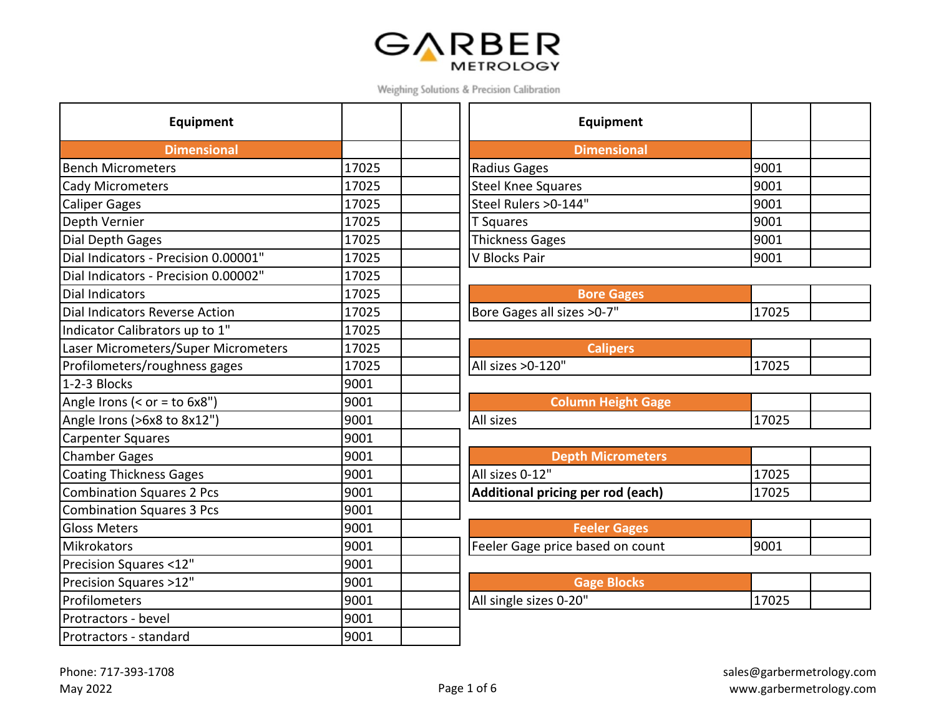## GARBER

Weighing Solutions & Precision Calibration

| Equipment                            |       | Equipment                         |       |
|--------------------------------------|-------|-----------------------------------|-------|
| <b>Dimensional</b>                   |       | <b>Dimensional</b>                |       |
| <b>Bench Micrometers</b>             | 17025 | Radius Gages                      | 9001  |
| <b>Cady Micrometers</b>              | 17025 | <b>Steel Knee Squares</b>         | 9001  |
| <b>Caliper Gages</b>                 | 17025 | Steel Rulers > 0-144"             | 9001  |
| Depth Vernier                        | 17025 | <b>T</b> Squares                  | 9001  |
| Dial Depth Gages                     | 17025 | Thickness Gages                   | 9001  |
| Dial Indicators - Precision 0.00001" | 17025 | V Blocks Pair                     | 9001  |
| Dial Indicators - Precision 0.00002" | 17025 |                                   |       |
| <b>Dial Indicators</b>               | 17025 | <b>Bore Gages</b>                 |       |
| Dial Indicators Reverse Action       | 17025 | Bore Gages all sizes > 0-7"       | 17025 |
| Indicator Calibrators up to 1"       | 17025 |                                   |       |
| Laser Micrometers/Super Micrometers  | 17025 | <b>Calipers</b>                   |       |
| Profilometers/roughness gages        | 17025 | All sizes > 0-120"                | 17025 |
| 1-2-3 Blocks                         | 9001  |                                   |       |
| Angle Irons (< $or = to 6x8"$ )      | 9001  | <b>Column Height Gage</b>         |       |
| Angle Irons (>6x8 to 8x12")          | 9001  | All sizes                         | 17025 |
| <b>Carpenter Squares</b>             | 9001  |                                   |       |
| <b>Chamber Gages</b>                 | 9001  | <b>Depth Micrometers</b>          |       |
| <b>Coating Thickness Gages</b>       | 9001  | All sizes 0-12"                   | 17025 |
| <b>Combination Squares 2 Pcs</b>     | 9001  | Additional pricing per rod (each) | 17025 |
| <b>Combination Squares 3 Pcs</b>     | 9001  |                                   |       |
| <b>Gloss Meters</b>                  | 9001  | <b>Feeler Gages</b>               |       |
| Mikrokators                          | 9001  | Feeler Gage price based on count  | 9001  |
| Precision Squares <12"               | 9001  |                                   |       |
| Precision Squares >12"               | 9001  | <b>Gage Blocks</b>                |       |
| Profilometers                        | 9001  | All single sizes 0-20"            | 17025 |
| Protractors - bevel                  | 9001  |                                   |       |
| Protractors - standard               | 9001  |                                   |       |

| Equipment            |      |  |
|----------------------|------|--|
| <b>Dimensional</b>   |      |  |
| Radius Gages         | 9001 |  |
| Steel Knee Squares   | 9001 |  |
| Steel Rulers >0-144" | 9001 |  |
| T Squares            | 9001 |  |
| Thickness Gages      | 9001 |  |
| V Blocks Pair        | 9001 |  |
|                      |      |  |

| <b>Bore Gages</b>         |       |  |
|---------------------------|-------|--|
| ore Gages all sizes >0-7" | 17025 |  |

| <b>SCalipers</b>   |  |
|--------------------|--|
| All sizes > 0-120" |  |

| Column Height Gage |       |  |
|--------------------|-------|--|
| All sizes          | 17025 |  |

| Depth Micrometers                 |        |  |
|-----------------------------------|--------|--|
| All sizes 0-12"                   | 117025 |  |
| Additional pricing per rod (each) | 17025  |  |

| <b>Feeler Gages</b>             |       |  |
|---------------------------------|-------|--|
| eeler Gage price based on count | 19001 |  |

| Gage Blocks            |       |  |
|------------------------|-------|--|
| All single sizes 0-20" | 17025 |  |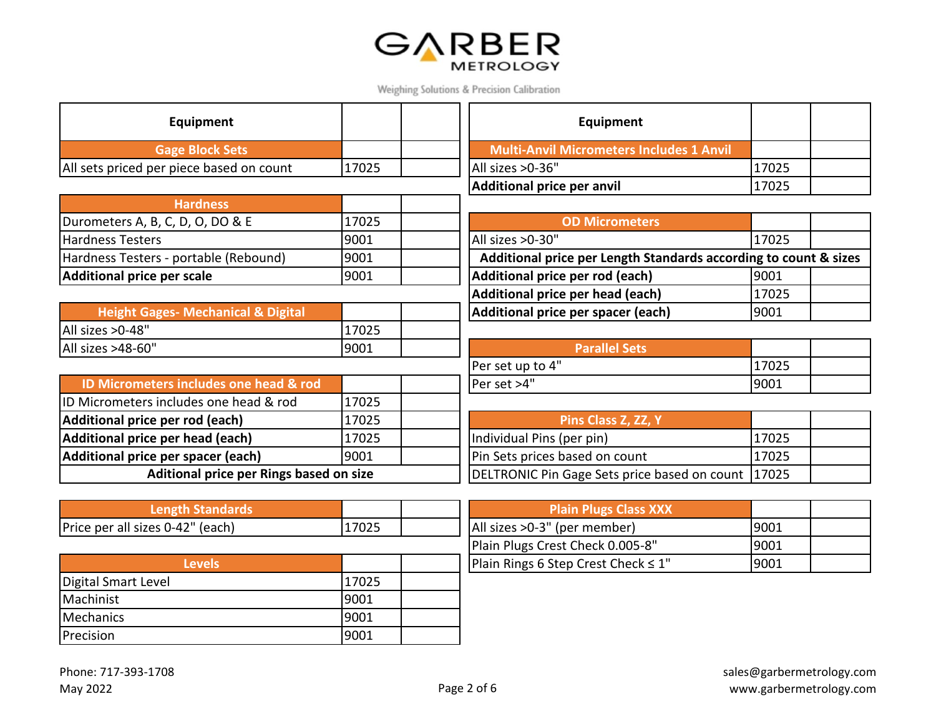

| Equipment                                     |       | Equipment                                                        |       |
|-----------------------------------------------|-------|------------------------------------------------------------------|-------|
| <b>Gage Block Sets</b>                        |       | <b>Multi-Anvil Micrometers Includes 1 Anvil</b>                  |       |
| All sets priced per piece based on count      | 17025 | All sizes > 0-36"                                                | 17025 |
|                                               |       | <b>Additional price per anvil</b>                                | 17025 |
| <b>Hardness</b>                               |       |                                                                  |       |
| Durometers A, B, C, D, O, DO & E              | 17025 | <b>OD Micrometers</b>                                            |       |
| <b>Hardness Testers</b>                       | 9001  | All sizes > 0-30"                                                | 17025 |
| Hardness Testers - portable (Rebound)         | 9001  | Additional price per Length Standards according to count & sizes |       |
| <b>Additional price per scale</b>             | 9001  | Additional price per rod (each)                                  | 9001  |
|                                               |       | Additional price per head (each)                                 | 17025 |
| <b>Height Gages- Mechanical &amp; Digital</b> |       | Additional price per spacer (each)                               | 9001  |
| All sizes >0-48"                              | 17025 |                                                                  |       |
| All sizes >48-60"                             | 9001  | <b>Parallel Sets</b>                                             |       |
|                                               |       | Per set up to 4"                                                 | 17025 |
| ID Micrometers includes one head & rod        |       | Per set >4"                                                      | 9001  |
| ID Micrometers includes one head & rod        | 17025 |                                                                  |       |
| Additional price per rod (each)               | 17025 | Pins Class Z, ZZ, Y                                              |       |
| Additional price per head (each)              | 17025 | Individual Pins (per pin)                                        | 17025 |
| Additional price per spacer (each)            | 9001  | Pin Sets prices based on count                                   | 17025 |
| Aditional price per Rings based on size       |       | DELTRONIC Pin Gage Sets price based on count                     | 17025 |
|                                               |       |                                                                  |       |
| <b>Length Standards</b>                       |       | <b>Plain Plugs Class XXX</b>                                     |       |
| Price per all sizes 0-42" (each)              | 17025 | All sizes > 0-3" (per member)                                    | 9001  |
|                                               |       | Plain Plugs Crest Check 0.005-8"                                 | 9001  |
| <b>Levels</b>                                 |       | Plain Rings 6 Step Crest Check $\leq 1$ "                        | 9001  |
| Digital Smart Level                           | 17025 |                                                                  |       |
| Machinist                                     | 9001  |                                                                  |       |
| Mechanics                                     | 9001  |                                                                  |       |
| Precision                                     | 9001  |                                                                  |       |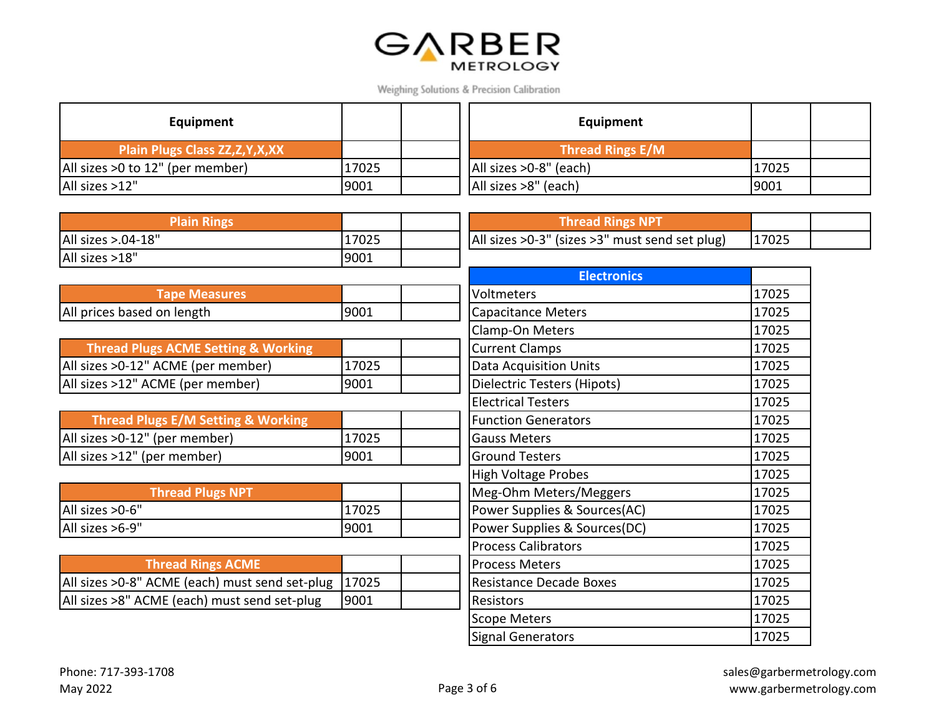

| Equipment                         |       | Equipment              |       |  |
|-----------------------------------|-------|------------------------|-------|--|
| Plain Plugs Class ZZ, Z, Y, X, XX |       | Thread Rings E/M       |       |  |
| All sizes >0 to 12" (per member)  | 17025 | All sizes >0-8" (each) | 17025 |  |
| All sizes >12"                    | 9001  | All sizes >8" (each)   | 9001  |  |

| <b>Plain Rings</b>                             |       | <b>Thread Rings NPT</b>                        |       |
|------------------------------------------------|-------|------------------------------------------------|-------|
| All sizes >.04-18"                             | 17025 | All sizes >0-3" (sizes >3" must send set plug) | 17025 |
| All sizes >18"                                 | 9001  |                                                |       |
|                                                |       | <b>Electronics</b>                             |       |
| <b>Tape Measures</b>                           |       | Voltmeters                                     | 17025 |
| All prices based on length                     | 9001  | Capacitance Meters                             | 17025 |
|                                                |       | Clamp-On Meters                                | 17025 |
| <b>Thread Plugs ACME Setting &amp; Working</b> |       | <b>Current Clamps</b>                          | 17025 |
| All sizes >0-12" ACME (per member)             | 17025 | <b>Data Acquisition Units</b>                  | 17025 |
| All sizes >12" ACME (per member)               | 9001  | Dielectric Testers (Hipots)                    | 17025 |
|                                                |       | <b>Electrical Testers</b>                      | 17025 |
| <b>Thread Plugs E/M Setting &amp; Working</b>  |       | <b>Function Generators</b>                     | 17025 |
| All sizes >0-12" (per member)                  | 17025 | <b>Gauss Meters</b>                            | 17025 |
| All sizes >12" (per member)                    | 9001  | <b>Ground Testers</b>                          | 17025 |
|                                                |       | <b>High Voltage Probes</b>                     | 17025 |
| <b>Thread Plugs NPT</b>                        |       | Meg-Ohm Meters/Meggers                         | 17025 |
| All sizes > 0-6"                               | 17025 | Power Supplies & Sources(AC)                   | 17025 |
| All sizes >6-9"                                | 9001  | Power Supplies & Sources(DC)                   | 17025 |
|                                                |       | <b>Process Calibrators</b>                     | 17025 |
| <b>Thread Rings ACME</b>                       |       | <b>Process Meters</b>                          | 17025 |
| All sizes >0-8" ACME (each) must send set-plug | 17025 | <b>Resistance Decade Boxes</b>                 | 17025 |
| All sizes >8" ACME (each) must send set-plug   | 9001  | Resistors                                      | 17025 |

Scope Meters 17025 Signal Generators 17025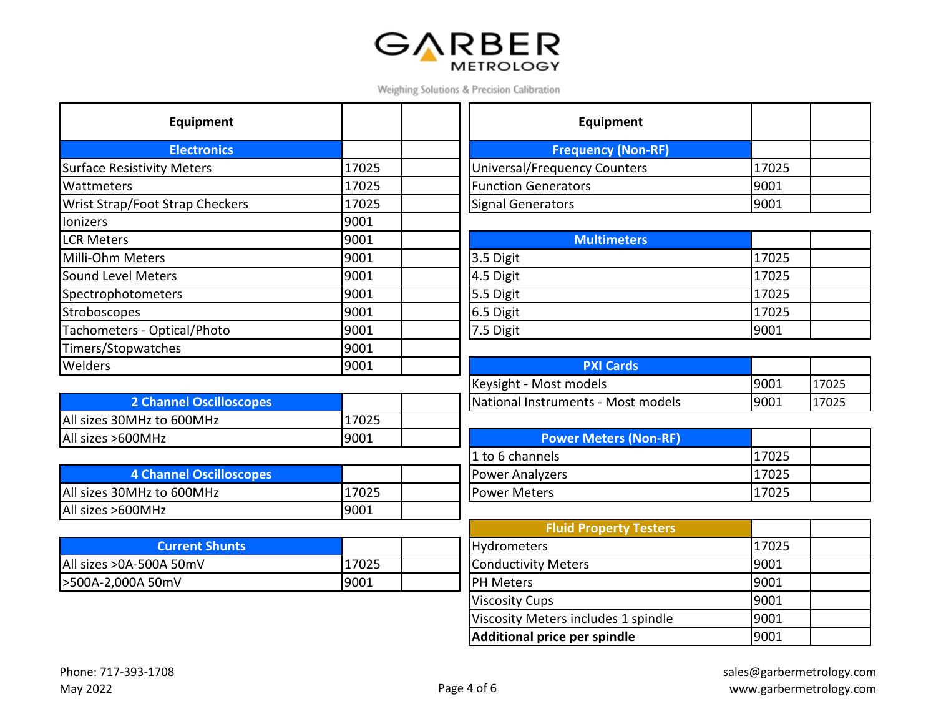## **GARBER**

Weighing Solutions & Precision Calibration

| Equipment                         |       | Equipment                           |       |
|-----------------------------------|-------|-------------------------------------|-------|
| <b>Electronics</b>                |       | <b>Frequency (Non-RF)</b>           |       |
| <b>Surface Resistivity Meters</b> | 17025 | <b>Universal/Frequency Counters</b> | 17025 |
| Wattmeters                        | 17025 | <b>Function Generators</b>          | 9001  |
| Wrist Strap/Foot Strap Checkers   | 17025 | <b>Signal Generators</b>            | 9001  |
| lonizers                          | 9001  |                                     |       |
| <b>LCR Meters</b>                 | 9001  | <b>Multimeters</b>                  |       |
| Milli-Ohm Meters                  | 9001  | 3.5 Digit                           | 17025 |
| Sound Level Meters                | 9001  | 4.5 Digit                           | 17025 |
| Spectrophotometers                | 9001  | 5.5 Digit                           | 17025 |
| Stroboscopes                      | 9001  | 6.5 Digit                           | 17025 |
| Tachometers - Optical/Photo       | 9001  | 7.5 Digit                           | 9001  |
| Timers/Stopwatches                | 9001  |                                     |       |
| <b>Welders</b>                    | 9001  | <b>PXI Cards</b>                    |       |

| <b>2 Channel Oscilloscopes</b> |       | National Instruments - Most models |
|--------------------------------|-------|------------------------------------|
| All sizes 30MHz to 600MHz      | 17025 |                                    |
| All sizes >600MHz              | 19001 | <b>Power Meters (Non-RF)</b>       |

| <b>4 Channel Oscilloscopes</b> |       | <b>IPower Analyzers</b> | .7025 |
|--------------------------------|-------|-------------------------|-------|
| All sizes 30MHz to 600MHz      | .7025 | <b>Power Meters</b>     | .7025 |
| All sizes >600MHz              | 9001  |                         |       |

| <b>Current Shunts</b>    |       | Hydrometers         | 1702 |
|--------------------------|-------|---------------------|------|
| All sizes > 0A-500A 50mV | 17025 | Conductivity Meters | 9001 |
| 500A-2,000A 50mV         | 9001  | <b>IPH Meters</b>   | 9001 |

| Equipment                           |       |  |
|-------------------------------------|-------|--|
| <b>Frequency (Non-RF)</b>           |       |  |
| <b>Universal/Frequency Counters</b> | 17025 |  |
| <b>Function Generators</b>          | 9001  |  |
| <b>Signal Generators</b>            | 9001  |  |

| <b>Multimeters</b> |       |  |
|--------------------|-------|--|
| 3.5 Digit          | 17025 |  |
| 4.5 Digit          | 17025 |  |
| 5.5 Digit          | 17025 |  |
| 6.5 Digit          | 17025 |  |
| 7.5 Digit          | 9001  |  |

|                                | 9001 | <b>PXI Cards</b>                   |       |       |
|--------------------------------|------|------------------------------------|-------|-------|
|                                |      | Keysight - Most models             | '9001 | 17025 |
| <b>2 Channel Oscilloscopes</b> |      | National Instruments - Most models | 19001 | 17025 |

| <b>Power Meters (Non-RF)</b> |       |  |
|------------------------------|-------|--|
| 1 to 6 channels              | 17025 |  |
| Power Analyzers              | 17025 |  |
| Power Meters                 | 17025 |  |

|                       |       | <b>Fluid Property Testers</b>       |       |  |
|-----------------------|-------|-------------------------------------|-------|--|
| <b>Current Shunts</b> |       | Hydrometers                         | 17025 |  |
| A 50mV                | 17025 | Conductivity Meters                 | 9001  |  |
| JmV                   | 9001  | <b>PH Meters</b>                    | 9001  |  |
|                       |       | <b>Viscosity Cups</b>               | 9001  |  |
|                       |       | Viscosity Meters includes 1 spindle | 9001  |  |
|                       |       | Additional price per spindle        | 9001  |  |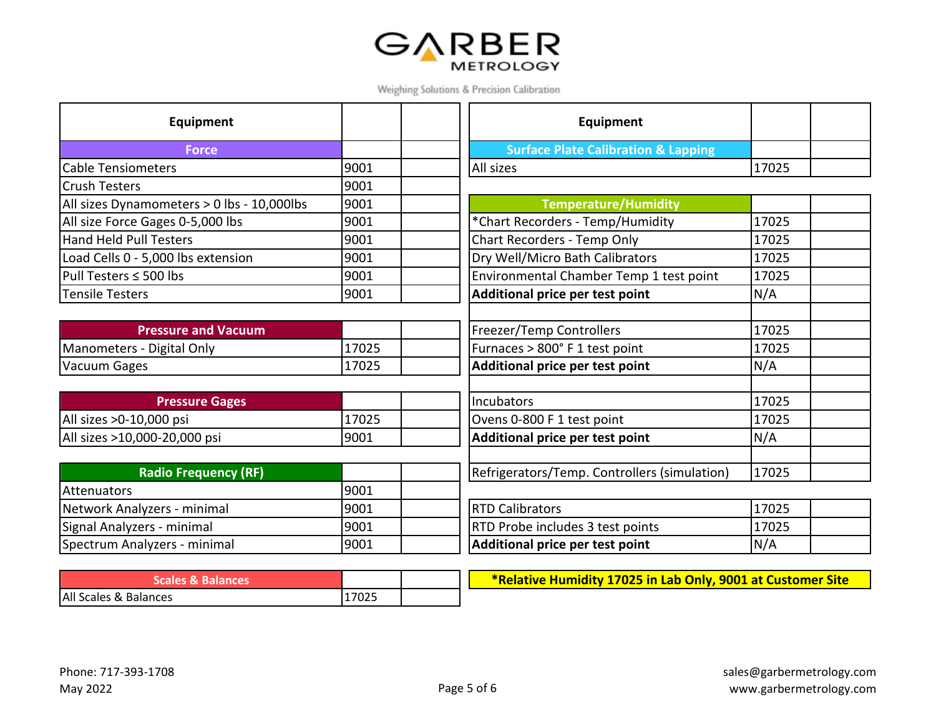

| Equipment                                  |       | <b>Equipment</b>                               |       |
|--------------------------------------------|-------|------------------------------------------------|-------|
| <b>Force</b>                               |       | <b>Surface Plate Calibration &amp; Lapping</b> |       |
| <b>Cable Tensiometers</b>                  | 9001  | All sizes                                      | 17025 |
| <b>Crush Testers</b>                       | 9001  |                                                |       |
| All sizes Dynamometers > 0 lbs - 10,000lbs | 9001  | <b>Temperature/Humidity</b>                    |       |
| All size Force Gages 0-5,000 lbs           | 9001  | *Chart Recorders - Temp/Humidity               | 17025 |
| <b>Hand Held Pull Testers</b>              | 9001  | Chart Recorders - Temp Only                    | 17025 |
| Load Cells 0 - 5,000 lbs extension         | 9001  | Dry Well/Micro Bath Calibrators                | 17025 |
| Pull Testers ≤ 500 lbs                     | 9001  | Environmental Chamber Temp 1 test point        | 17025 |
| <b>Tensile Testers</b>                     | 9001  | Additional price per test point                | N/A   |
|                                            |       |                                                |       |
| <b>Pressure and Vacuum</b>                 |       | <b>Freezer/Temp Controllers</b>                | 17025 |
| Manometers - Digital Only                  | 17025 | Furnaces > 800° F 1 test point                 | 17025 |
| Vacuum Gages                               | 17025 | Additional price per test point                | N/A   |
|                                            |       |                                                |       |
| <b>Pressure Gages</b>                      |       | Incubators                                     | 17025 |
| All sizes >0-10,000 psi                    | 17025 | Ovens 0-800 F 1 test point                     | 17025 |
| All sizes >10,000-20,000 psi               | 9001  | Additional price per test point                | N/A   |
|                                            |       |                                                |       |
| <b>Radio Frequency (RF)</b>                |       | Refrigerators/Temp. Controllers (simulation)   | 17025 |
| Attenuators                                | 9001  |                                                |       |
| Network Analyzers - minimal                | 9001  | <b>RTD Calibrators</b>                         | 17025 |
| Signal Analyzers - minimal                 | 9001  | RTD Probe includes 3 test points               | 17025 |
| Spectrum Analyzers - minimal               | 9001  | Additional price per test point                | N/A   |

| Scales & Balances     |       |  |
|-----------------------|-------|--|
| All Scales & Balances | 17025 |  |

**\*Relative Humidity 17025 in Lab Only, 9001 at Customer Site**